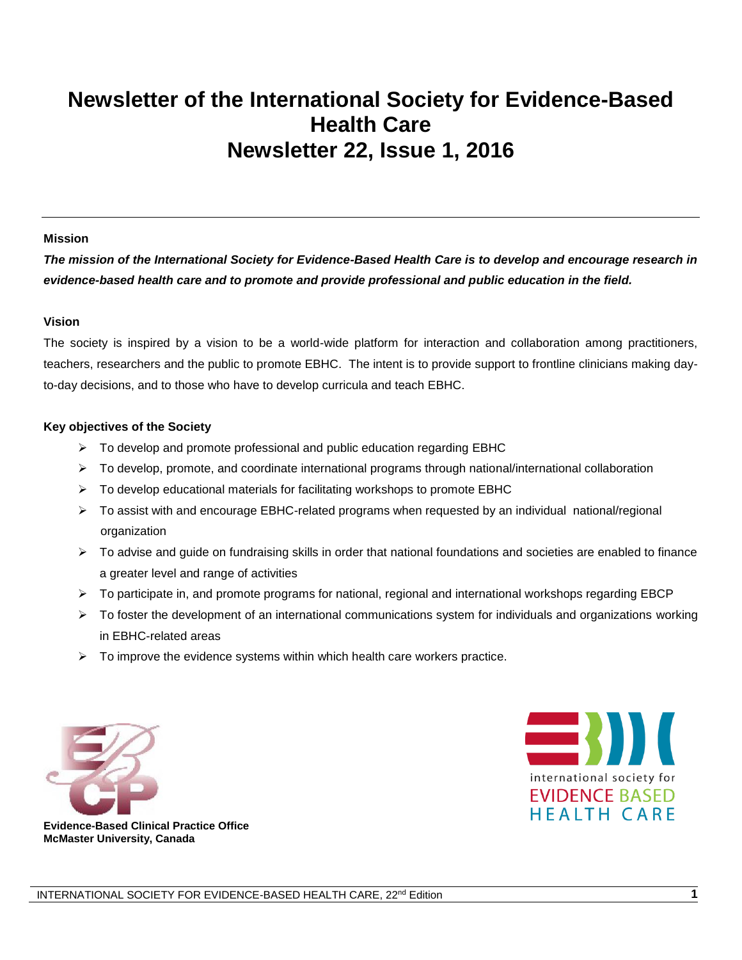# **Newsletter of the International Society for Evidence-Based Health Care Newsletter 22, Issue 1, 2016**

#### **Mission**

*The mission of the International Society for Evidence-Based Health Care is to develop and encourage research in evidence-based health care and to promote and provide professional and public education in the field.*

#### **Vision**

The society is inspired by a vision to be a world-wide platform for interaction and collaboration among practitioners, teachers, researchers and the public to promote EBHC. The intent is to provide support to frontline clinicians making dayto-day decisions, and to those who have to develop curricula and teach EBHC.

#### **Key objectives of the Society**

- $\triangleright$  To develop and promote professional and public education regarding EBHC
- $\triangleright$  To develop, promote, and coordinate international programs through national/international collaboration
- $\triangleright$  To develop educational materials for facilitating workshops to promote EBHC
- To assist with and encourage EBHC-related programs when requested by an individual national/regional organization
- $\triangleright$  To advise and guide on fundraising skills in order that national foundations and societies are enabled to finance a greater level and range of activities
- $\triangleright$  To participate in, and promote programs for national, regional and international workshops regarding EBCP
- $\triangleright$  To foster the development of an international communications system for individuals and organizations working in EBHC-related areas
- $\triangleright$  To improve the evidence systems within which health care workers practice.





**Evidence-Based Clinical Practice Office McMaster University, Canada**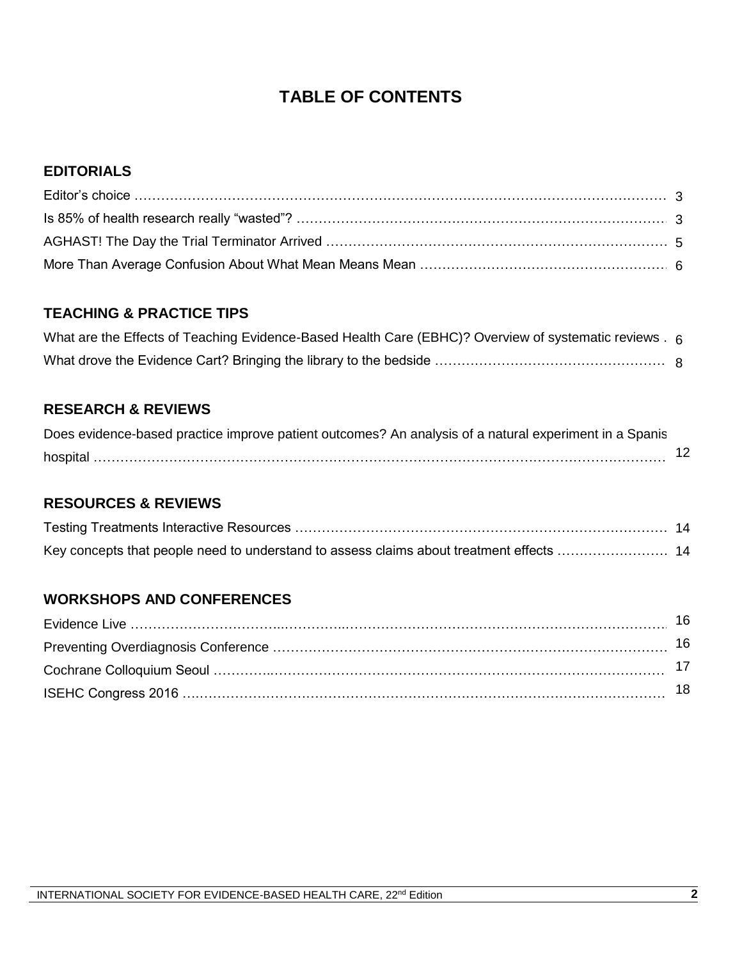## **TABLE OF CONTENTS**

#### **EDITORIALS**

#### **TEACHING & PRACTICE TIPS**

| What are the Effects of Teaching Evidence-Based Health Care (EBHC)? Overview of systematic reviews . 6 |  |
|--------------------------------------------------------------------------------------------------------|--|
|                                                                                                        |  |

#### **RESEARCH & REVIEWS**

| Does evidence-based practice improve patient outcomes? An analysis of a natural experiment in a Spanis |    |
|--------------------------------------------------------------------------------------------------------|----|
|                                                                                                        | 12 |

## **RESOURCES & REVIEWS**

#### **WORKSHOPS AND CONFERENCES**

| 16  |
|-----|
| 16  |
|     |
| 18. |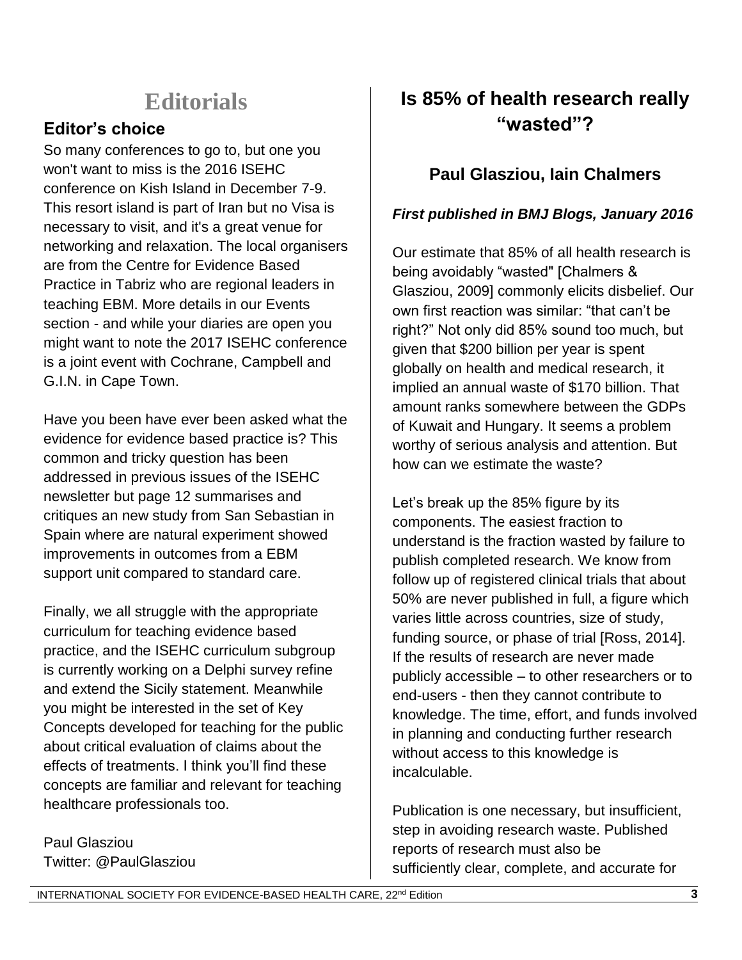# **Editorials**

## **Editor's choice**

So many conferences to go to, but one you won't want to miss is the 2016 ISEHC conference on Kish Island in December 7-9. This resort island is part of Iran but no Visa is necessary to visit, and it's a great venue for networking and relaxation. The local organisers are from the Centre for Evidence Based Practice in Tabriz who are regional leaders in teaching EBM. More details in our Events section - and while your diaries are open you might want to note the 2017 ISEHC conference is a joint event with Cochrane, Campbell and G.I.N. in Cape Town.

Have you been have ever been asked what the evidence for evidence based practice is? This common and tricky question has been addressed in previous issues of the ISEHC newsletter but page 12 summarises and critiques an new study from San Sebastian in Spain where are natural experiment showed improvements in outcomes from a EBM support unit compared to standard care.

Finally, we all struggle with the appropriate curriculum for teaching evidence based practice, and the ISEHC curriculum subgroup is currently working on a Delphi survey refine and extend the Sicily statement. Meanwhile you might be interested in the set of Key Concepts developed for teaching for the public about critical evaluation of claims about the effects of treatments. I think you'll find these concepts are familiar and relevant for teaching healthcare professionals too.

Paul Glasziou Twitter: @PaulGlasziou

# **Is 85% of health research really "wasted"?**

## **Paul Glasziou, Iain Chalmers**

#### *First published in BMJ Blogs, January 2016*

Our estimate that 85% of all health research is being avoidably "wasted" [Chalmers & Glasziou, 2009] commonly elicits disbelief. Our own first reaction was similar: "that can't be right?" Not only did 85% sound too much, but given that \$200 billion per year is spent globally on health and medical research, it implied an annual waste of \$170 billion. That amount ranks somewhere between the GDPs of Kuwait and Hungary. It seems a problem worthy of serious analysis and attention. But how can we estimate the waste?

Let's break up the 85% figure by its components. The easiest fraction to understand is the fraction wasted by failure to publish completed research. We know from follow up of registered clinical trials that about 50% are never published in full, a figure which varies little across countries, size of study, funding source, or phase of trial [Ross, 2014]. If the results of research are never made publicly accessible – to other researchers or to end-users - then they cannot contribute to knowledge. The time, effort, and funds involved in planning and conducting further research without access to this knowledge is incalculable.

Publication is one necessary, but insufficient, step in avoiding research waste. Published reports of research must also be sufficiently clear, complete, and accurate for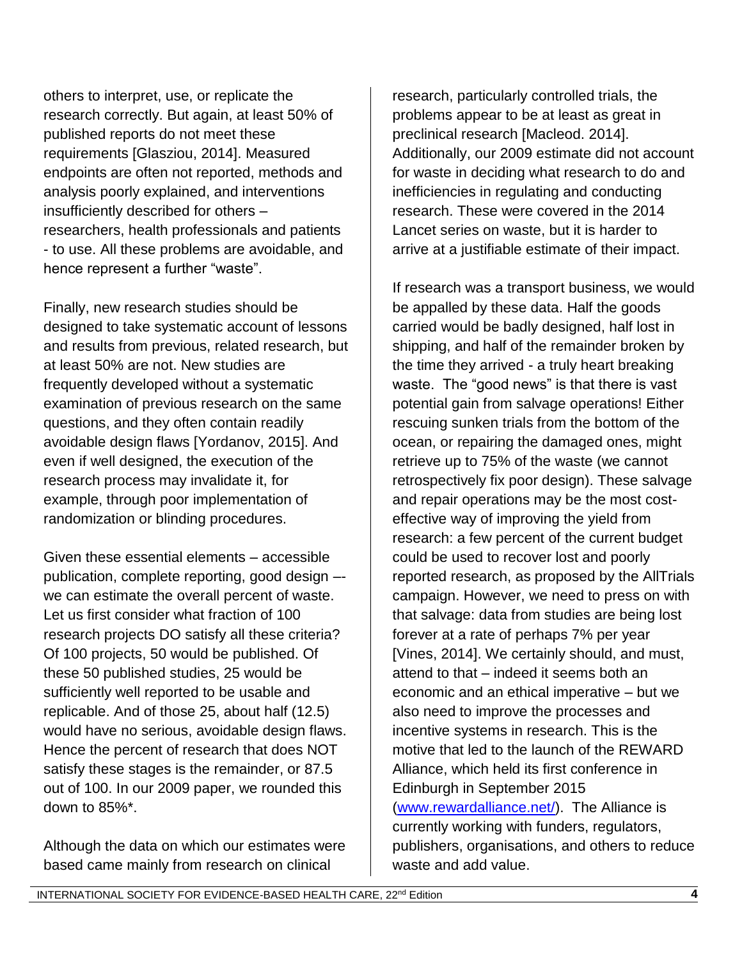others to interpret, use, or replicate the research correctly. But again, at least 50% of published reports do not meet these requirements [Glasziou, 2014]. Measured endpoints are often not reported, methods and analysis poorly explained, and interventions insufficiently described for others – researchers, health professionals and patients - to use. All these problems are avoidable, and hence represent a further "waste".

Finally, new research studies should be designed to take systematic account of lessons and results from previous, related research, but at least 50% are not. New studies are frequently developed without a systematic examination of previous research on the same questions, and they often contain readily avoidable design flaws [Yordanov, 2015]. And even if well designed, the execution of the research process may invalidate it, for example, through poor implementation of randomization or blinding procedures.

Given these essential elements – accessible publication, complete reporting, good design – we can estimate the overall percent of waste. Let us first consider what fraction of 100 research projects DO satisfy all these criteria? Of 100 projects, 50 would be published. Of these 50 published studies, 25 would be sufficiently well reported to be usable and replicable. And of those 25, about half (12.5) would have no serious, avoidable design flaws. Hence the percent of research that does NOT satisfy these stages is the remainder, or 87.5 out of 100. In our 2009 paper, we rounded this down to 85%\*.

Although the data on which our estimates were based came mainly from research on clinical

research, particularly controlled trials, the problems appear to be at least as great in preclinical research [Macleod. 2014]. Additionally, our 2009 estimate did not account for waste in deciding what research to do and inefficiencies in regulating and conducting research. These were covered in the 2014 Lancet series on waste, but it is harder to arrive at a justifiable estimate of their impact.

If research was a transport business, we would be appalled by these data. Half the goods carried would be badly designed, half lost in shipping, and half of the remainder broken by the time they arrived - a truly heart breaking waste. The "good news" is that there is vast potential gain from salvage operations! Either rescuing sunken trials from the bottom of the ocean, or repairing the damaged ones, might retrieve up to 75% of the waste (we cannot retrospectively fix poor design). These salvage and repair operations may be the most costeffective way of improving the yield from research: a few percent of the current budget could be used to recover lost and poorly reported research, as proposed by the AllTrials campaign. However, we need to press on with that salvage: data from studies are being lost forever at a rate of perhaps 7% per year [Vines, 2014]. We certainly should, and must, attend to that – indeed it seems both an economic and an ethical imperative – but we also need to improve the processes and incentive systems in research. This is the motive that led to the launch of the REWARD Alliance, which held its first conference in Edinburgh in September 2015 [\(www.rewardalliance.net/\)](http://www.rewardalliance.net/). The Alliance is currently working with funders, regulators, publishers, organisations, and others to reduce waste and add value.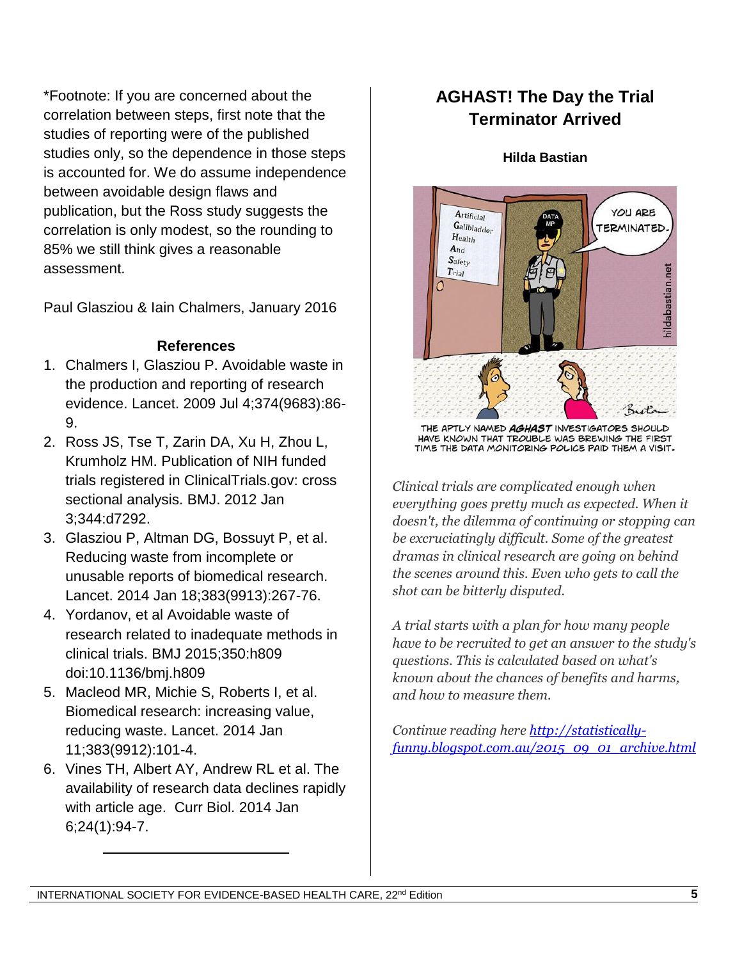\*Footnote: If you are concerned about the correlation between steps, first note that the studies of reporting were of the published studies only, so the dependence in those steps is accounted for. We do assume independence between avoidable design flaws and publication, but the Ross study suggests the correlation is only modest, so the rounding to 85% we still think gives a reasonable assessment.

Paul Glasziou & Iain Chalmers, January 2016

#### **References**

- 1. Chalmers I, Glasziou P. Avoidable waste in the production and reporting of research evidence. Lancet. 2009 Jul 4;374(9683):86- 9.
- 2. Ross JS, Tse T, Zarin DA, Xu H, Zhou L, Krumholz HM. Publication of NIH funded trials registered in ClinicalTrials.gov: cross sectional analysis. BMJ. 2012 Jan 3;344:d7292.
- 3. Glasziou P, Altman DG, Bossuyt P, et al. Reducing waste from incomplete or unusable reports of biomedical research. Lancet. 2014 Jan 18;383(9913):267-76.
- 4. Yordanov, et al Avoidable waste of research related to inadequate methods in clinical trials. BMJ 2015;350:h809 doi:10.1136/bmj.h809
- 5. Macleod MR, Michie S, Roberts I, et al. Biomedical research: increasing value, reducing waste. Lancet. 2014 Jan 11;383(9912):101-4.
- 6. Vines TH, Albert AY, Andrew RL et al. The availability of research data declines rapidly with article age. Curr Biol. 2014 Jan 6;24(1):94-7.

 $\overline{\phantom{a}}$  , and the set of the set of the set of the set of the set of the set of the set of the set of the set of the set of the set of the set of the set of the set of the set of the set of the set of the set of the s

# **AGHAST! The Day the Trial Terminator Arrived**

#### **Hilda Bastian**



THE APTLY NAMED AGHAST INVESTIGATORS SHOULD HAVE KNOWN THAT TROUBLE WAS BREWING THE FIRST TIME THE DATA MONITORING POLICE PAID THEM A VISIT.

*Clinical trials are complicated enough when everything goes pretty much as expected. When it doesn't, the dilemma of continuing or stopping can be excruciatingly difficult. Some of the greatest dramas in clinical research are going on behind the scenes around this. Even who gets to call the shot can be bitterly disputed.*

*A trial starts with a plan for how many people have to be recruited to get an answer to the study's questions. This is calculated based on what's known about the chances of benefits and harms, and how to measure them.*

*Continue reading here [http://statistically](http://statistically-funny.blogspot.com.au/2015_09_01_archive.html)[funny.blogspot.com.au/2015\\_09\\_01\\_archive.html](http://statistically-funny.blogspot.com.au/2015_09_01_archive.html)*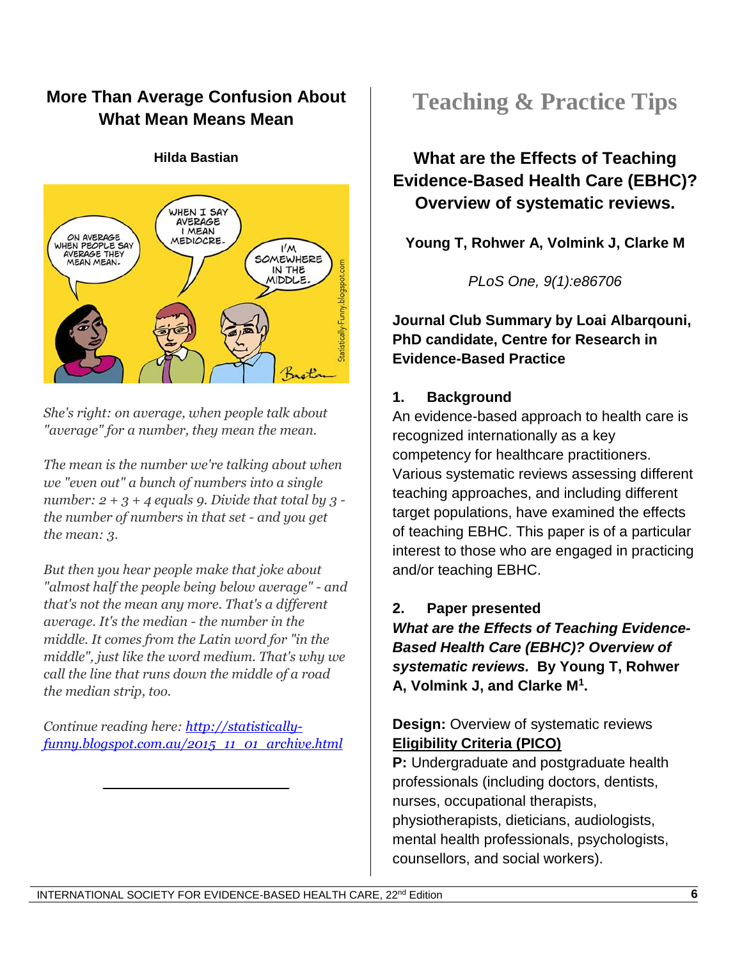## **More Than Average Confusion About What Mean Means Mean**



#### **Hilda Bastian**

*She's right: on average, when people talk about "average" for a number, they mean the mean.*

*The mean is the number we're talking about when we "even out" a bunch of numbers into a single number: 2 + 3 + 4 equals 9. Divide that total by 3 the number of numbers in that set - and you get the mean: 3.*

*But then you hear people make that joke about "almost half the people being below average" - and that's not the mean any more. That's a different average. It's the median - the number in the middle. It comes from the Latin word for "in the middle", just like the word medium. That's why we call the line that runs down the middle of a road the median strip, too.*

*Continue reading here: [http://statistically](http://statistically-funny.blogspot.com.au/2015_11_01_archive.html)[funny.blogspot.com.au/2015\\_11\\_01\\_archive.html](http://statistically-funny.blogspot.com.au/2015_11_01_archive.html)*

 $\overline{\phantom{a}}$  , which is a set of the set of the set of the set of the set of the set of the set of the set of the set of the set of the set of the set of the set of the set of the set of the set of the set of the set of th

# **Teaching & Practice Tips**

## **What are the Effects of Teaching Evidence-Based Health Care (EBHC)? Overview of systematic reviews.**

**Young T, Rohwer A, Volmink J, Clarke M**

*PLoS One, 9(1):e86706*

**Journal Club Summary by Loai Albarqouni, PhD candidate, Centre for Research in Evidence-Based Practice**

### **1. Background**

An evidence-based approach to health care is recognized internationally as a key competency for healthcare practitioners. Various systematic reviews assessing different teaching approaches, and including different target populations, have examined the effects of teaching EBHC. This paper is of a particular interest to those who are engaged in practicing and/or teaching EBHC.

### **2. Paper presented**

*What are the Effects of Teaching Evidence-Based Health Care (EBHC)? Overview of systematic reviews.* **By Young T, Rohwer A, Volmink J, and Clarke M<sup>1</sup> .**

### **Design:** Overview of systematic reviews **Eligibility Criteria (PICO)**

**P:** Undergraduate and postgraduate health professionals (including doctors, dentists, nurses, occupational therapists, physiotherapists, dieticians, audiologists, mental health professionals, psychologists, counsellors, and social workers).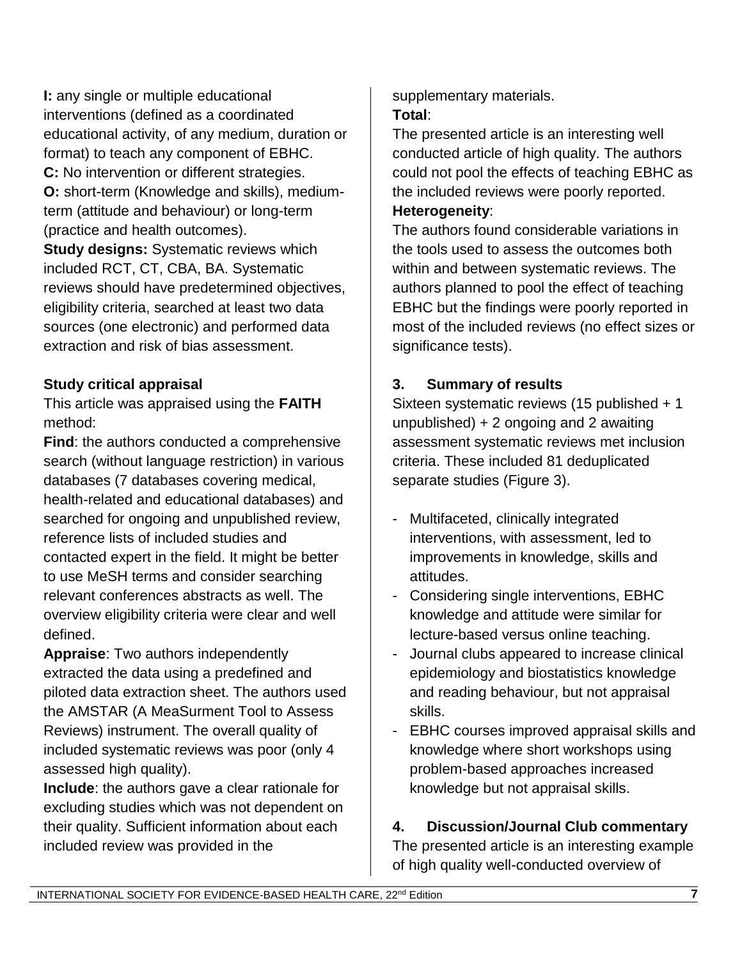**I:** any single or multiple educational interventions (defined as a coordinated educational activity, of any medium, duration or format) to teach any component of EBHC. **C:** No intervention or different strategies. **O:** short-term (Knowledge and skills), mediumterm (attitude and behaviour) or long-term (practice and health outcomes).

**Study designs:** Systematic reviews which included RCT, CT, CBA, BA. Systematic reviews should have predetermined objectives, eligibility criteria, searched at least two data sources (one electronic) and performed data extraction and risk of bias assessment.

### **Study critical appraisal**

This article was appraised using the **FAITH** method:

**Find**: the authors conducted a comprehensive search (without language restriction) in various databases (7 databases covering medical, health-related and educational databases) and searched for ongoing and unpublished review, reference lists of included studies and contacted expert in the field. It might be better to use MeSH terms and consider searching relevant conferences abstracts as well. The overview eligibility criteria were clear and well defined.

**Appraise**: Two authors independently extracted the data using a predefined and piloted data extraction sheet. The authors used the AMSTAR (A MeaSurment Tool to Assess Reviews) instrument. The overall quality of included systematic reviews was poor (only 4 assessed high quality).

**Include**: the authors gave a clear rationale for excluding studies which was not dependent on their quality. Sufficient information about each included review was provided in the

supplementary materials. **Total**:

The presented article is an interesting well conducted article of high quality. The authors could not pool the effects of teaching EBHC as the included reviews were poorly reported.

#### **Heterogeneity**:

The authors found considerable variations in the tools used to assess the outcomes both within and between systematic reviews. The authors planned to pool the effect of teaching EBHC but the findings were poorly reported in most of the included reviews (no effect sizes or significance tests).

## **3. Summary of results**

Sixteen systematic reviews (15 published + 1 unpublished) + 2 ongoing and 2 awaiting assessment systematic reviews met inclusion criteria. These included 81 deduplicated separate studies (Figure 3).

- Multifaceted, clinically integrated interventions, with assessment, led to improvements in knowledge, skills and attitudes.
- Considering single interventions, EBHC knowledge and attitude were similar for lecture-based versus online teaching.
- Journal clubs appeared to increase clinical epidemiology and biostatistics knowledge and reading behaviour, but not appraisal skills.
- EBHC courses improved appraisal skills and knowledge where short workshops using problem-based approaches increased knowledge but not appraisal skills.

## **4. Discussion/Journal Club commentary**

The presented article is an interesting example of high quality well-conducted overview of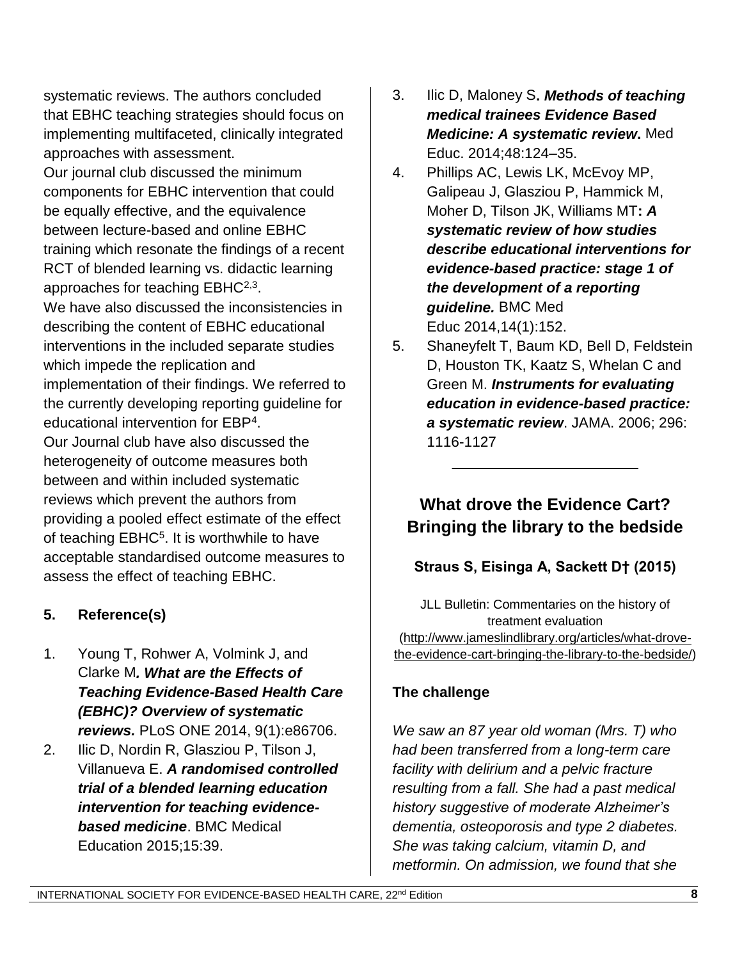systematic reviews. The authors concluded that EBHC teaching strategies should focus on implementing multifaceted, clinically integrated approaches with assessment.

Our journal club discussed the minimum components for EBHC intervention that could be equally effective, and the equivalence between lecture-based and online EBHC training which resonate the findings of a recent RCT of blended learning vs. didactic learning approaches for teaching  $EBHC^{2,3}$ .

We have also discussed the inconsistencies in describing the content of EBHC educational interventions in the included separate studies which impede the replication and implementation of their findings. We referred to the currently developing reporting guideline for educational intervention for EBP<sup>4</sup> . Our Journal club have also discussed the heterogeneity of outcome measures both between and within included systematic reviews which prevent the authors from providing a pooled effect estimate of the effect of teaching EBHC<sup>5</sup>. It is worthwhile to have acceptable standardised outcome measures to assess the effect of teaching EBHC.

### **5. Reference(s)**

- 1. Young T, Rohwer A, Volmink J, and Clarke M*. What are the Effects of Teaching Evidence-Based Health Care (EBHC)? Overview of systematic reviews.* PLoS ONE 2014, 9(1):e86706.
- 2. Ilic D, Nordin R, Glasziou P, Tilson J, Villanueva E. *A randomised controlled trial of a blended learning education intervention for teaching evidencebased medicine*. BMC Medical Education 2015;15:39.
- 3. Ilic D, Maloney S**.** *Methods of teaching medical trainees Evidence Based Medicine: A systematic review***.** Med Educ. 2014;48:124–35.
- 4. Phillips AC, Lewis LK, McEvoy MP, Galipeau J, Glasziou P, Hammick M, Moher D, Tilson JK, Williams MT**:** *A systematic review of how studies describe educational interventions for evidence-based practice: stage 1 of the development of a reporting guideline.* BMC Med Educ 2014,14(1):152.
- 5. Shaneyfelt T, Baum KD, Bell D, Feldstein D, Houston TK, Kaatz S, Whelan C and Green M. *Instruments for evaluating education in evidence-based practice: a systematic review*. JAMA. 2006; 296: 1116-1127

# **What drove the Evidence Cart? Bringing the library to the bedside**

 $\overline{\phantom{a}}$  , where  $\overline{\phantom{a}}$  , where  $\overline{\phantom{a}}$  , where  $\overline{\phantom{a}}$ 

## **Straus S, Eisinga A, Sackett D† (2015)**

JLL Bulletin: Commentaries on the history of treatment evaluation [\(http://www.jameslindlibrary.org/articles/what-drove](http://www.jameslindlibrary.org/articles/what-drove-the-evidence-cart-bringing-the-library-to-the-bedside/)[the-evidence-cart-bringing-the-library-to-the-bedside/\)](http://www.jameslindlibrary.org/articles/what-drove-the-evidence-cart-bringing-the-library-to-the-bedside/)

### **The challenge**

*We saw an 87 year old woman (Mrs. T) who had been transferred from a long-term care facility with delirium and a pelvic fracture resulting from a fall. She had a past medical history suggestive of moderate Alzheimer's dementia, osteoporosis and type 2 diabetes. She was taking calcium, vitamin D, and metformin. On admission, we found that she*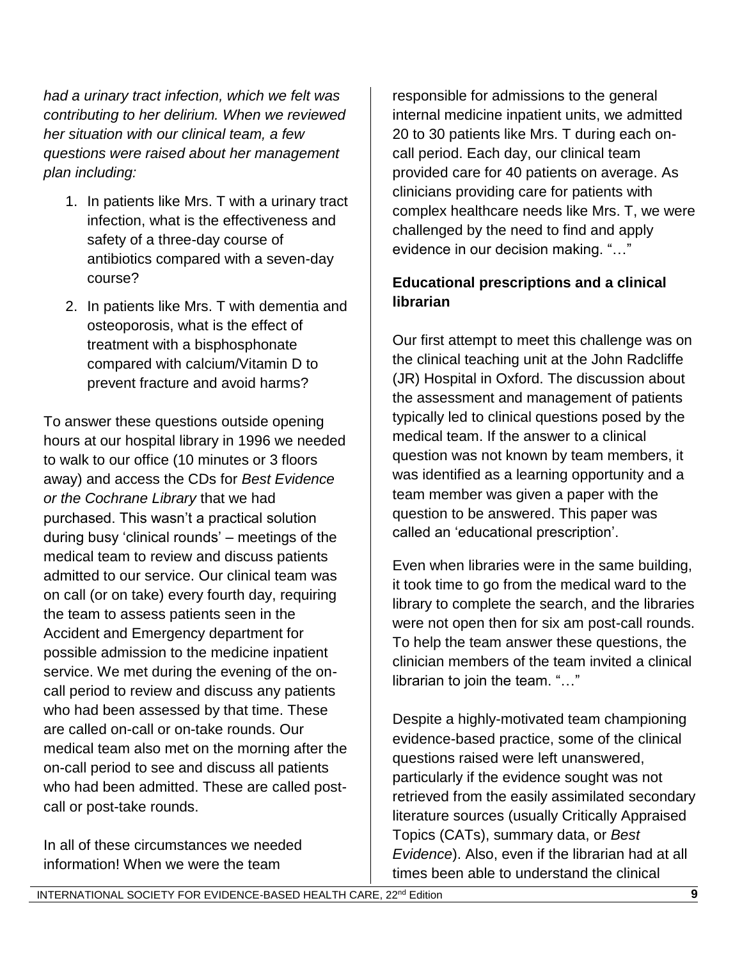*had a urinary tract infection, which we felt was contributing to her delirium. When we reviewed her situation with our clinical team, a few questions were raised about her management plan including:*

- 1. In patients like Mrs. T with a urinary tract infection, what is the effectiveness and safety of a three-day course of antibiotics compared with a seven-day course?
- 2. In patients like Mrs. T with dementia and osteoporosis, what is the effect of treatment with a bisphosphonate compared with calcium/Vitamin D to prevent fracture and avoid harms?

To answer these questions outside opening hours at our hospital library in 1996 we needed to walk to our office (10 minutes or 3 floors away) and access the CDs for *Best Evidence or the Cochrane Library* that we had purchased. This wasn't a practical solution during busy 'clinical rounds' – meetings of the medical team to review and discuss patients admitted to our service. Our clinical team was on call (or on take) every fourth day, requiring the team to assess patients seen in the Accident and Emergency department for possible admission to the medicine inpatient service. We met during the evening of the oncall period to review and discuss any patients who had been assessed by that time. These are called on-call or on-take rounds. Our medical team also met on the morning after the on-call period to see and discuss all patients who had been admitted. These are called postcall or post-take rounds.

In all of these circumstances we needed information! When we were the team

responsible for admissions to the general internal medicine inpatient units, we admitted 20 to 30 patients like Mrs. T during each oncall period. Each day, our clinical team provided care for 40 patients on average. As clinicians providing care for patients with complex healthcare needs like Mrs. T, we were challenged by the need to find and apply evidence in our decision making. "…"

### **Educational prescriptions and a clinical librarian**

Our first attempt to meet this challenge was on the clinical teaching unit at the John Radcliffe (JR) Hospital in Oxford. The discussion about the assessment and management of patients typically led to clinical questions posed by the medical team. If the answer to a clinical question was not known by team members, it was identified as a learning opportunity and a team member was given a paper with the question to be answered. This paper was called an 'educational prescription'.

Even when libraries were in the same building, it took time to go from the medical ward to the library to complete the search, and the libraries were not open then for six am post-call rounds. To help the team answer these questions, the clinician members of the team invited a clinical librarian to join the team. "…"

Despite a highly-motivated team championing evidence-based practice, some of the clinical questions raised were left unanswered, particularly if the evidence sought was not retrieved from the easily assimilated secondary literature sources (usually Critically Appraised Topics (CATs), summary data, or *Best Evidence*). Also, even if the librarian had at all times been able to understand the clinical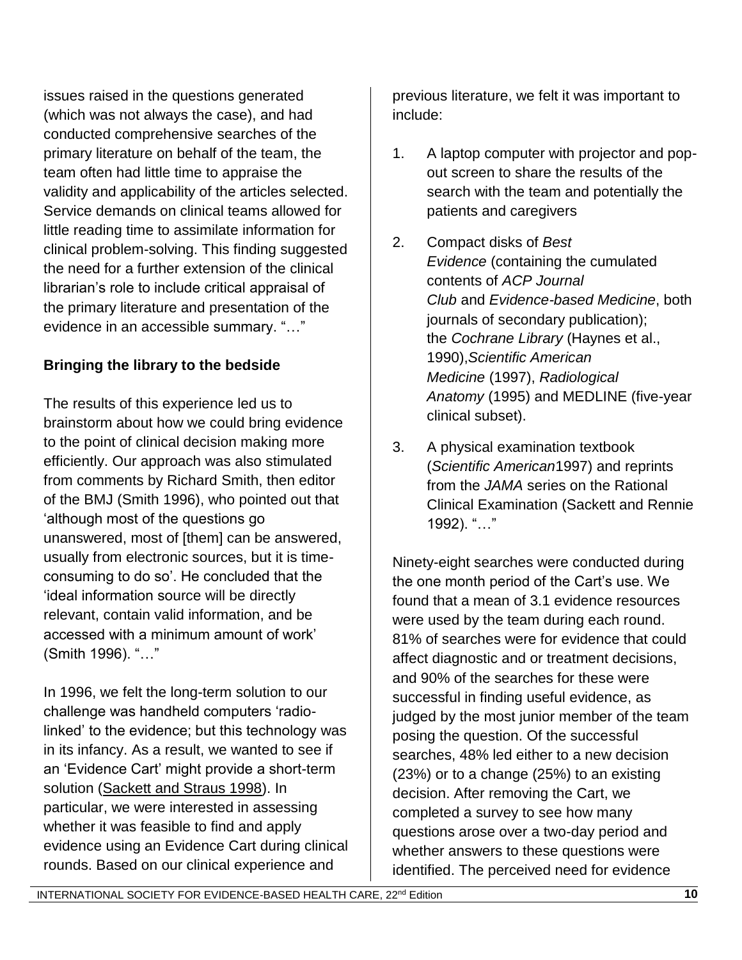issues raised in the questions generated (which was not always the case), and had conducted comprehensive searches of the primary literature on behalf of the team, the team often had little time to appraise the validity and applicability of the articles selected. Service demands on clinical teams allowed for little reading time to assimilate information for clinical problem-solving. This finding suggested the need for a further extension of the clinical librarian's role to include critical appraisal of the primary literature and presentation of the evidence in an accessible summary. "…"

## **Bringing the library to the bedside**

The results of this experience led us to brainstorm about how we could bring evidence to the point of clinical decision making more efficiently. Our approach was also stimulated from comments by Richard Smith, then editor of the BMJ (Smith 1996), who pointed out that 'although most of the questions go unanswered, most of [them] can be answered, usually from electronic sources, but it is timeconsuming to do so'. He concluded that the 'ideal information source will be directly relevant, contain valid information, and be accessed with a minimum amount of work' (Smith 1996). "…"

In 1996, we felt the long-term solution to our challenge was handheld computers 'radiolinked' to the evidence; but this technology was in its infancy. As a result, we wanted to see if an 'Evidence Cart' might provide a short-term solution [\(Sackett and Straus 1998\)](http://www.jameslindlibrary.org/sackett-d-straus-s-for-firm-a-of-the-nuffield-department-of-medicine-1998/). In particular, we were interested in assessing whether it was feasible to find and apply evidence using an Evidence Cart during clinical rounds. Based on our clinical experience and

previous literature, we felt it was important to include:

- 1. A laptop computer with projector and popout screen to share the results of the search with the team and potentially the patients and caregivers
- 2. Compact disks of *Best Evidence* (containing the cumulated contents of *ACP Journal Club* and *Evidence-based Medicine*, both journals of secondary publication); the *Cochrane Library* (Haynes et al., 1990),*Scientific American Medicine* (1997), *Radiological Anatomy* (1995) and MEDLINE (five-year clinical subset).
- 3. A physical examination textbook (*Scientific American*1997) and reprints from the *JAMA* series on the Rational Clinical Examination (Sackett and Rennie 1992). "…"

Ninety-eight searches were conducted during the one month period of the Cart's use. We found that a mean of 3.1 evidence resources were used by the team during each round. 81% of searches were for evidence that could affect diagnostic and or treatment decisions, and 90% of the searches for these were successful in finding useful evidence, as judged by the most junior member of the team posing the question. Of the successful searches, 48% led either to a new decision (23%) or to a change (25%) to an existing decision. After removing the Cart, we completed a survey to see how many questions arose over a two-day period and whether answers to these questions were identified. The perceived need for evidence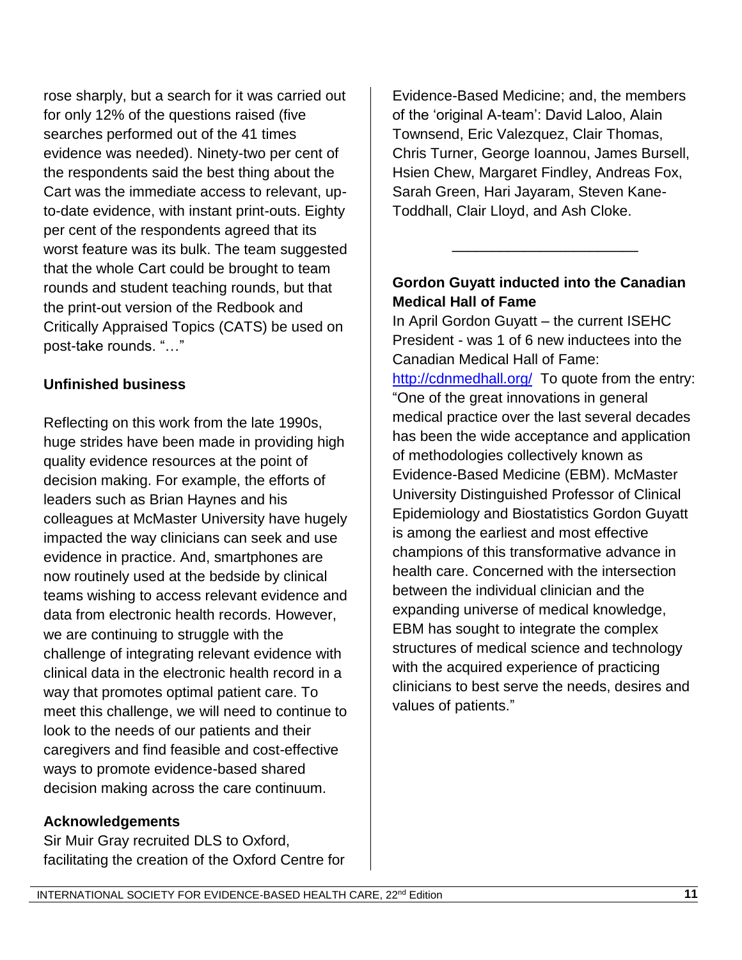rose sharply, but a search for it was carried out for only 12% of the questions raised (five searches performed out of the 41 times evidence was needed). Ninety-two per cent of the respondents said the best thing about the Cart was the immediate access to relevant, upto-date evidence, with instant print-outs. Eighty per cent of the respondents agreed that its worst feature was its bulk. The team suggested that the whole Cart could be brought to team rounds and student teaching rounds, but that the print-out version of the Redbook and Critically Appraised Topics (CATS) be used on post-take rounds. "…"

#### **Unfinished business**

Reflecting on this work from the late 1990s, huge strides have been made in providing high quality evidence resources at the point of decision making. For example, the efforts of leaders such as Brian Haynes and his colleagues at McMaster University have hugely impacted the way clinicians can seek and use evidence in practice. And, smartphones are now routinely used at the bedside by clinical teams wishing to access relevant evidence and data from electronic health records. However, we are continuing to struggle with the challenge of integrating relevant evidence with clinical data in the electronic health record in a way that promotes optimal patient care. To meet this challenge, we will need to continue to look to the needs of our patients and their caregivers and find feasible and cost-effective ways to promote evidence-based shared decision making across the care continuum.

#### **Acknowledgements**

Sir Muir Gray recruited DLS to Oxford, facilitating the creation of the Oxford Centre for Evidence-Based Medicine; and, the members of the 'original A-team': David Laloo, Alain Townsend, Eric Valezquez, Clair Thomas, Chris Turner, George Ioannou, James Bursell, Hsien Chew, Margaret Findley, Andreas Fox, Sarah Green, Hari Jayaram, Steven Kane-Toddhall, Clair Lloyd, and Ash Cloke.

#### **Gordon Guyatt inducted into the Canadian Medical Hall of Fame**

\_\_\_\_\_\_\_\_\_\_\_\_\_\_\_\_\_\_\_\_\_\_\_

In April Gordon Guyatt – the current ISEHC President - was 1 of 6 new inductees into the Canadian Medical Hall of Fame: <http://cdnmedhall.org/>To quote from the entry: "One of the great innovations in general medical practice over the last several decades has been the wide acceptance and application of methodologies collectively known as Evidence-Based Medicine (EBM). McMaster University Distinguished Professor of Clinical Epidemiology and Biostatistics Gordon Guyatt is among the earliest and most effective champions of this transformative advance in health care. Concerned with the intersection between the individual clinician and the expanding universe of medical knowledge, EBM has sought to integrate the complex structures of medical science and technology with the acquired experience of practicing clinicians to best serve the needs, desires and values of patients."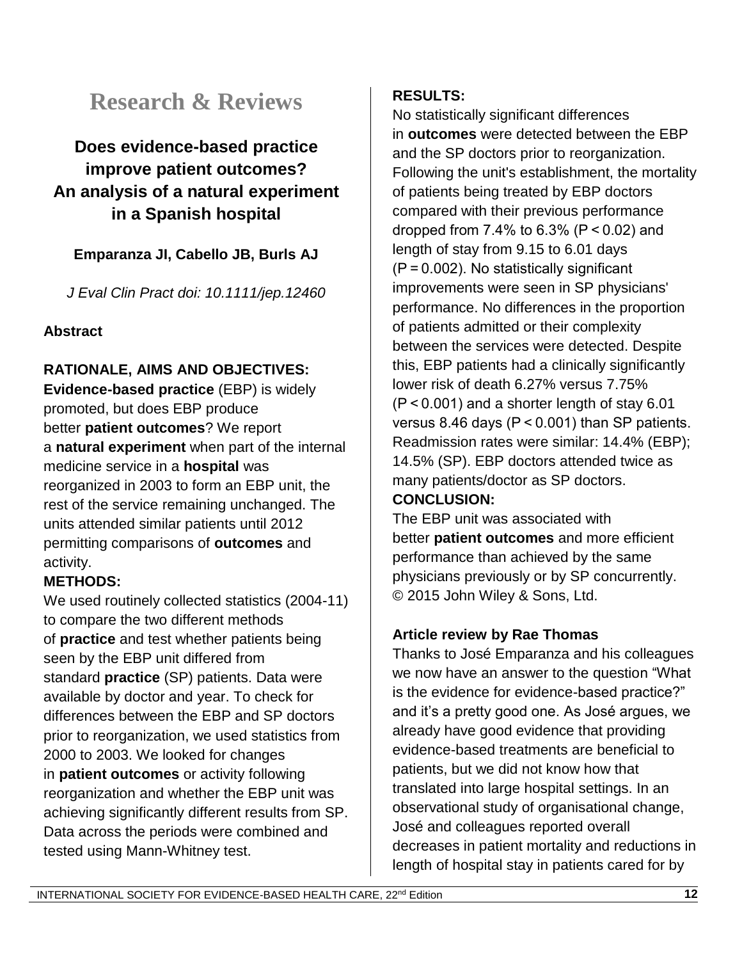# **Research & Reviews**

# **Does evidence-based practice improve patient outcomes? An analysis of a natural experiment in a Spanish hospital**

## **Emparanza JI, Cabello JB, Burls AJ**

*J Eval Clin Pract doi: 10.1111/jep.12460*

#### **Abstract**

## **RATIONALE, AIMS AND OBJECTIVES:**

**Evidence-based practice** (EBP) is widely promoted, but does EBP produce better **patient outcomes**? We report a **natural experiment** when part of the internal medicine service in a **hospital** was reorganized in 2003 to form an EBP unit, the rest of the service remaining unchanged. The units attended similar patients until 2012 permitting comparisons of **outcomes** and activity.

### **METHODS:**

We used routinely collected statistics (2004-11) to compare the two different methods of **practice** and test whether patients being seen by the EBP unit differed from standard **practice** (SP) patients. Data were available by doctor and year. To check for differences between the EBP and SP doctors prior to reorganization, we used statistics from 2000 to 2003. We looked for changes in **patient outcomes** or activity following reorganization and whether the EBP unit was achieving significantly different results from SP. Data across the periods were combined and tested using Mann-Whitney test.

#### **RESULTS:**

No statistically significant differences in **outcomes** were detected between the EBP and the SP doctors prior to reorganization. Following the unit's establishment, the mortality of patients being treated by EBP doctors compared with their previous performance dropped from 7.4% to 6.3% (P < 0.02) and length of stay from 9.15 to 6.01 days (P = 0.002). No statistically significant improvements were seen in SP physicians' performance. No differences in the proportion of patients admitted or their complexity between the services were detected. Despite this, EBP patients had a clinically significantly lower risk of death 6.27% versus 7.75% (P < 0.001) and a shorter length of stay 6.01 versus 8.46 days (P < 0.001) than SP patients. Readmission rates were similar: 14.4% (EBP); 14.5% (SP). EBP doctors attended twice as many patients/doctor as SP doctors.

#### **CONCLUSION:**

The EBP unit was associated with better **patient outcomes** and more efficient performance than achieved by the same physicians previously or by SP concurrently. © 2015 John Wiley & Sons, Ltd.

### **Article review by Rae Thomas**

Thanks to José Emparanza and his colleagues we now have an answer to the question "What is the evidence for evidence-based practice?" and it's a pretty good one. As José argues, we already have good evidence that providing evidence-based treatments are beneficial to patients, but we did not know how that translated into large hospital settings. In an observational study of organisational change, José and colleagues reported overall decreases in patient mortality and reductions in length of hospital stay in patients cared for by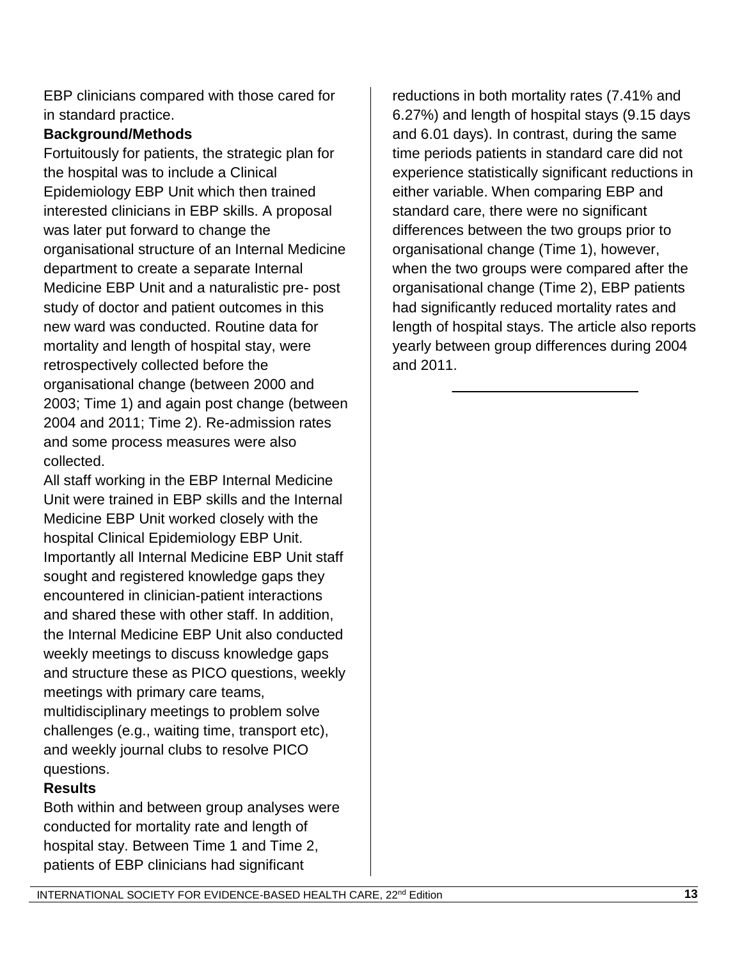EBP clinicians compared with those cared for in standard practice.

#### **Background/Methods**

Fortuitously for patients, the strategic plan for the hospital was to include a Clinical Epidemiology EBP Unit which then trained interested clinicians in EBP skills. A proposal was later put forward to change the organisational structure of an Internal Medicine department to create a separate Internal Medicine EBP Unit and a naturalistic pre- post study of doctor and patient outcomes in this new ward was conducted. Routine data for mortality and length of hospital stay, were retrospectively collected before the organisational change (between 2000 and 2003; Time 1) and again post change (between 2004 and 2011; Time 2). Re-admission rates and some process measures were also collected.

All staff working in the EBP Internal Medicine Unit were trained in EBP skills and the Internal Medicine EBP Unit worked closely with the hospital Clinical Epidemiology EBP Unit. Importantly all Internal Medicine EBP Unit staff sought and registered knowledge gaps they encountered in clinician-patient interactions and shared these with other staff. In addition, the Internal Medicine EBP Unit also conducted weekly meetings to discuss knowledge gaps and structure these as PICO questions, weekly meetings with primary care teams, multidisciplinary meetings to problem solve challenges (e.g., waiting time, transport etc), and weekly journal clubs to resolve PICO questions.

### **Results**

Both within and between group analyses were conducted for mortality rate and length of hospital stay. Between Time 1 and Time 2, patients of EBP clinicians had significant

reductions in both mortality rates (7.41% and 6.27%) and length of hospital stays (9.15 days and 6.01 days). In contrast, during the same time periods patients in standard care did not experience statistically significant reductions in either variable. When comparing EBP and standard care, there were no significant differences between the two groups prior to organisational change (Time 1), however, when the two groups were compared after the organisational change (Time 2), EBP patients had significantly reduced mortality rates and length of hospital stays. The article also reports yearly between group differences during 2004 and 2011.

\_\_\_\_\_\_\_\_\_\_\_\_\_\_\_\_\_\_\_\_\_\_\_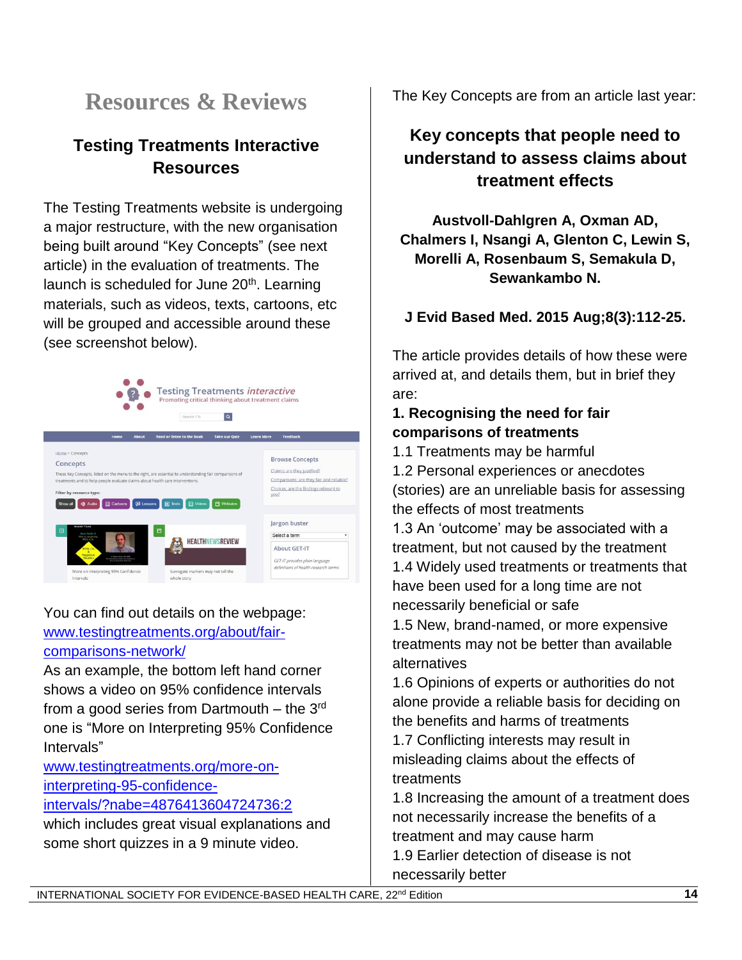# **Resources & Reviews**

# **Testing Treatments Interactive Resources**

The Testing Treatments website is undergoing a major restructure, with the new organisation being built around "Key Concepts" (see next article) in the evaluation of treatments. The launch is scheduled for June 20<sup>th</sup>. Learning materials, such as videos, texts, cartoons, etc will be grouped and accessible around these (see screenshot below).



You can find out details on the webpage:

[www.testingtreatments.org/about/fair](http://www.testingtreatments.org/about/fair-comparisons-network/)[comparisons-network/](http://www.testingtreatments.org/about/fair-comparisons-network/)

As an example, the bottom left hand corner shows a video on 95% confidence intervals from a good series from Dartmouth – the  $3<sup>rd</sup>$ one is "More on Interpreting 95% Confidence Intervals"

[www.testingtreatments.org/more-on](http://www.testingtreatments.org/more-on-interpreting-95-confidence-intervals/?nabe=4876413604724736:2)[interpreting-95-confidence-](http://www.testingtreatments.org/more-on-interpreting-95-confidence-intervals/?nabe=4876413604724736:2)

#### [intervals/?nabe=4876413604724736:2](http://www.testingtreatments.org/more-on-interpreting-95-confidence-intervals/?nabe=4876413604724736:2)

which includes great visual explanations and some short quizzes in a 9 minute video.

The Key Concepts are from an article last year:

# **Key concepts that people need to understand to assess claims about treatment effects**

**Austvoll-Dahlgren A, Oxman AD, Chalmers I, Nsangi A, Glenton C, Lewin S, Morelli A, Rosenbaum S, Semakula D, Sewankambo N.**

**J Evid Based Med. 2015 Aug;8(3):112-25.**

The article provides details of how these were arrived at, and details them, but in brief they are:

## **1. Recognising the need for fair comparisons of treatments**

1.1 Treatments may be harmful

1.2 Personal experiences or anecdotes (stories) are an unreliable basis for assessing the effects of most treatments

1.3 An 'outcome' may be associated with a treatment, but not caused by the treatment 1.4 Widely used treatments or treatments that have been used for a long time are not necessarily beneficial or safe

1.5 New, brand-named, or more expensive treatments may not be better than available alternatives

1.6 Opinions of experts or authorities do not alone provide a reliable basis for deciding on the benefits and harms of treatments

1.7 Conflicting interests may result in misleading claims about the effects of treatments

1.8 Increasing the amount of a treatment does not necessarily increase the benefits of a treatment and may cause harm 1.9 Earlier detection of disease is not

necessarily better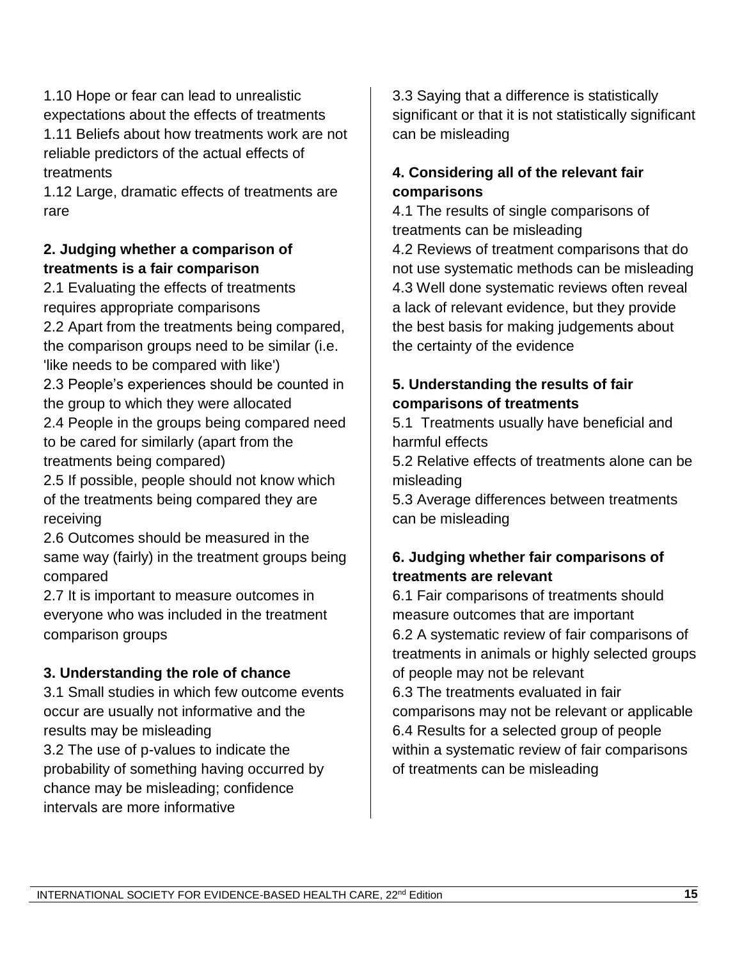1.10 Hope or fear can lead to unrealistic expectations about the effects of treatments 1.11 Beliefs about how treatments work are not reliable predictors of the actual effects of treatments

1.12 Large, dramatic effects of treatments are rare

#### **2. Judging whether a comparison of treatments is a fair comparison**

2.1 Evaluating the effects of treatments requires appropriate comparisons 2.2 Apart from the treatments being compared, the comparison groups need to be similar (i.e. 'like needs to be compared with like') 2.3 People's experiences should be counted in the group to which they were allocated 2.4 People in the groups being compared need to be cared for similarly (apart from the treatments being compared) 2.5 If possible, people should not know which

of the treatments being compared they are receiving

2.6 Outcomes should be measured in the same way (fairly) in the treatment groups being compared

2.7 It is important to measure outcomes in everyone who was included in the treatment comparison groups

### **3. Understanding the role of chance**

3.1 Small studies in which few outcome events occur are usually not informative and the results may be misleading 3.2 The use of p-values to indicate the probability of something having occurred by chance may be misleading; confidence intervals are more informative

3.3 Saying that a difference is statistically significant or that it is not statistically significant can be misleading

### **4. Considering all of the relevant fair comparisons**

4.1 The results of single comparisons of treatments can be misleading

4.2 Reviews of treatment comparisons that do not use systematic methods can be misleading 4.3 Well done systematic reviews often reveal a lack of relevant evidence, but they provide the best basis for making judgements about the certainty of the evidence

#### **5. Understanding the results of fair comparisons of treatments**

5.1 Treatments usually have beneficial and harmful effects

5.2 Relative effects of treatments alone can be misleading

5.3 Average differences between treatments can be misleading

### **6. Judging whether fair comparisons of treatments are relevant**

6.1 Fair comparisons of treatments should measure outcomes that are important 6.2 A systematic review of fair comparisons of treatments in animals or highly selected groups of people may not be relevant 6.3 The treatments evaluated in fair comparisons may not be relevant or applicable 6.4 Results for a selected group of people

within a systematic review of fair comparisons of treatments can be misleading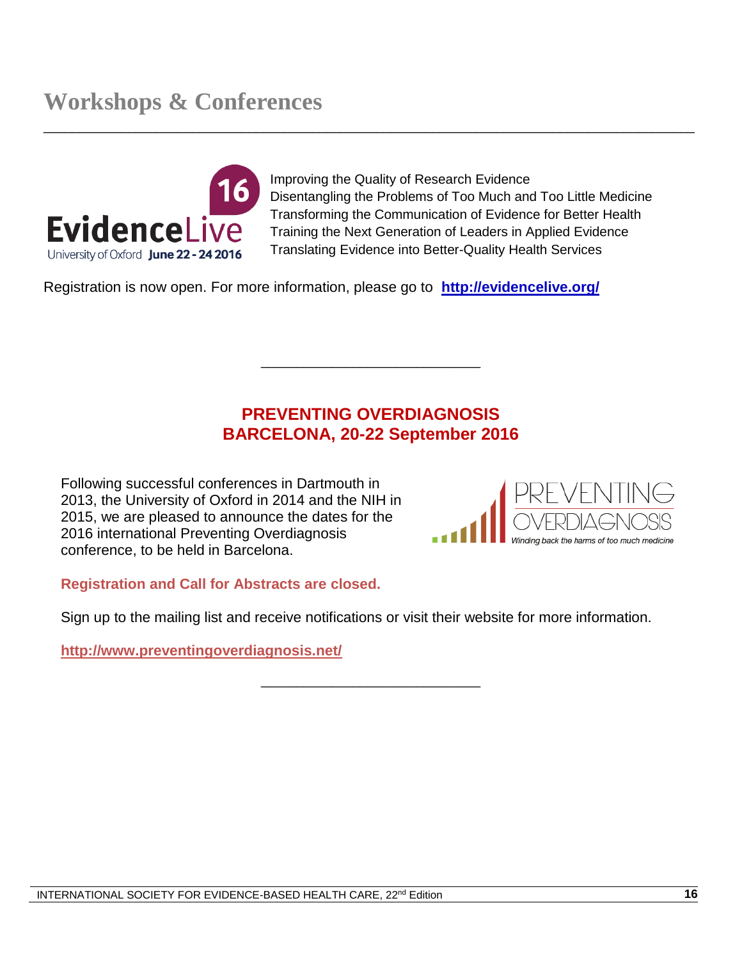

Improving the Quality of Research Evidence Disentangling the Problems of Too Much and Too Little Medicine Transforming the Communication of Evidence for Better Health Training the Next Generation of Leaders in Applied Evidence Translating Evidence into Better-Quality Health Services

Registration is now open. For more information, please go to **<http://evidencelive.org/>**

## **PREVENTING OVERDIAGNOSIS BARCELONA, 20-22 September 2016**

\_\_\_\_\_\_\_\_\_\_\_\_\_\_\_\_\_\_\_\_\_\_\_\_\_\_\_\_\_\_\_

 $\_$  ,  $\_$  ,  $\_$  ,  $\_$  ,  $\_$  ,  $\_$  ,  $\_$  ,  $\_$  ,  $\_$  ,  $\_$  ,  $\_$  ,  $\_$  ,  $\_$  ,  $\_$  ,  $\_$  ,  $\_$  ,  $\_$  ,  $\_$  ,  $\_$  ,  $\_$  ,  $\_$  ,  $\_$  ,  $\_$  ,  $\_$  ,  $\_$  ,  $\_$  ,  $\_$  ,  $\_$  ,  $\_$  ,  $\_$  ,  $\_$  ,  $\_$  ,  $\_$  ,  $\_$  ,  $\_$  ,  $\_$  ,  $\_$  ,

Following successful conferences in Dartmouth in 2013, the University of Oxford in 2014 and the NIH in 2015, we are pleased to announce the dates for the 2016 international Preventing Overdiagnosis conference, to be held in Barcelona.



#### **Registration and Call for Abstracts are closed.**

Sign up to the mailing list and receive notifications or visit their website for more information.

\_\_\_\_\_\_\_\_\_\_\_\_\_\_\_\_\_\_\_\_\_\_\_\_\_\_\_\_\_\_\_

**<http://www.preventingoverdiagnosis.net/>**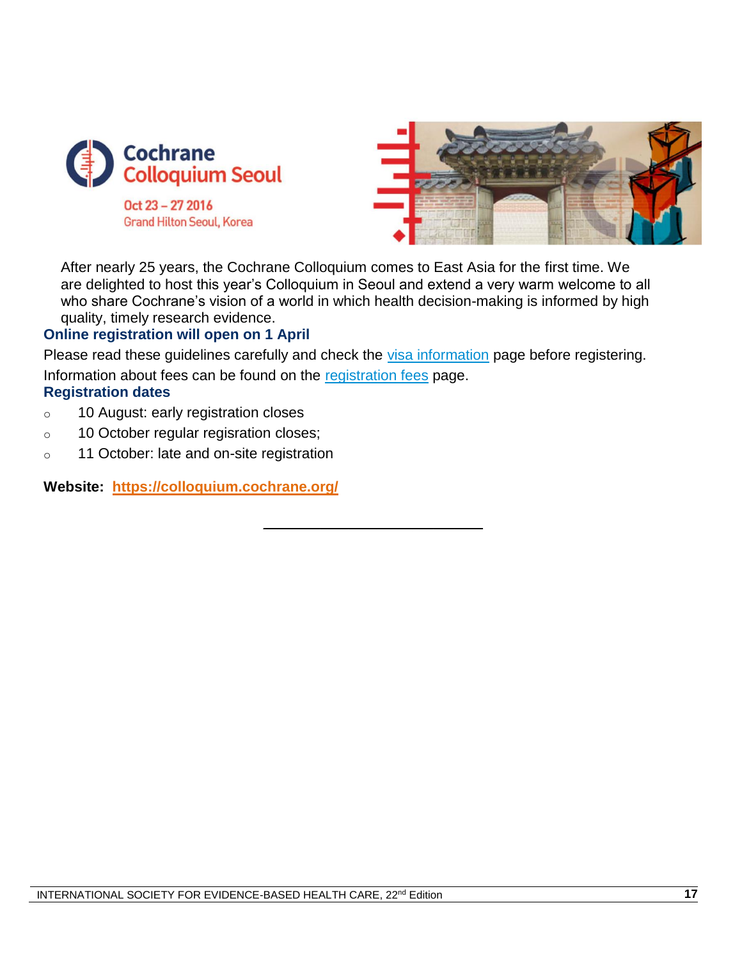

Oct 23 - 27 2016 **Grand Hilton Seoul, Korea** 



After nearly 25 years, the Cochrane Colloquium comes to East Asia for the first time. We are delighted to host this year's Colloquium in Seoul and extend a very warm welcome to all who share Cochrane's vision of a world in which health decision-making is informed by high quality, timely research evidence.

#### **Online registration will open on 1 April**

Please read these guidelines carefully and check the [visa information](https://colloquium.cochrane.org/registration-fees) page before registering. Information about fees can be found on the [registration fees](https://colloquium.cochrane.org/registration-fees) page. **Registration dates**

\_\_\_\_\_\_\_\_\_\_\_\_\_\_\_\_\_\_\_\_\_\_\_\_\_\_\_\_\_\_\_

- o 10 August: early registration closes
- o 10 October regular regisration closes;
- o 11 October: late and on-site registration

**Website: <https://colloquium.cochrane.org/>**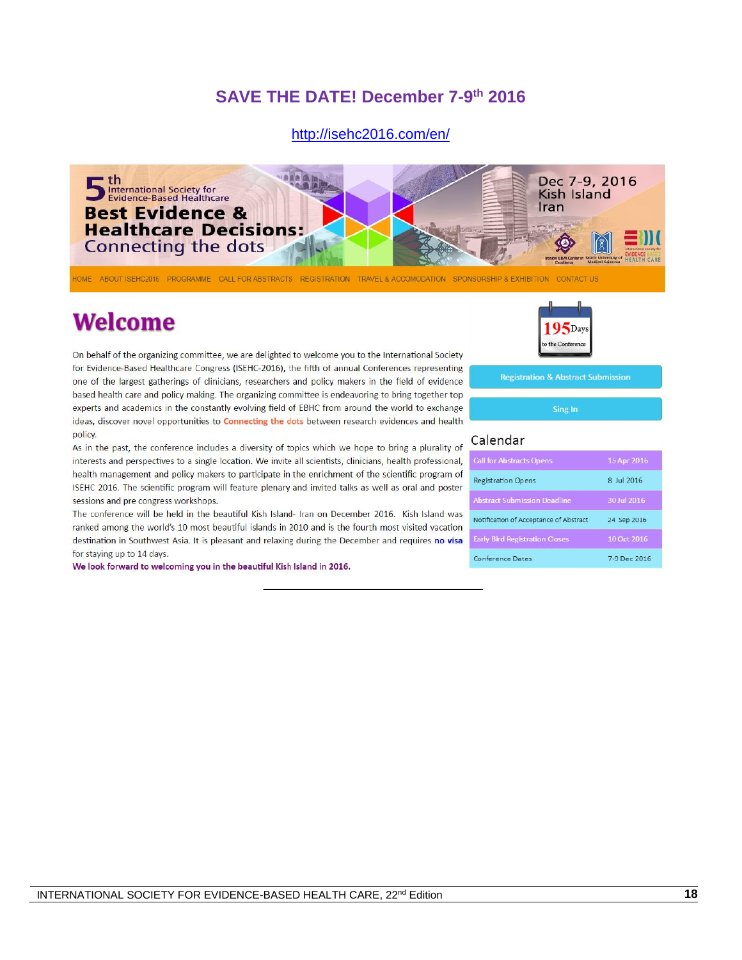### **SAVE THE DATE! December 7-9 th 2016**

#### <http://isehc2016.com/en/>



\_\_\_\_\_\_\_\_\_\_\_\_\_\_\_\_\_\_\_\_\_\_\_\_\_\_\_\_\_\_\_

HOME ABOUT ISEHC2016 PROGRAMME CALL FOR ABSTRACTS REGISTRATION TRAVEL & ACCOMODATION SPONSORSHIP & EXHIBITION CONTACT US

# **Welcome**

On behalf of the organizing committee, we are delighted to welcome you to the International Society for Evidence-Based Healthcare Congress (ISEHC-2016), the fifth of annual Conferences representing one of the largest gatherings of clinicians, researchers and policy makers in the field of evidence based health care and policy making. The organizing committee is endeavoring to bring together top experts and academics in the constantly evolving field of EBHC from around the world to exchange ideas, discover novel opportunities to **Connecting the dots** between research evidences and health policy.

As in the past, the conference includes a diversity of topics which we hope to bring a plurality of interests and perspectives to a single location. We invite all scientists, clinicians, health professional, health management and policy makers to participate in the enrichment of the scientific program of ISEHC 2016. The scientific program will feature plenary and invited talks as well as oral and poster sessions and pre congress workshops.

The conference will be held in the beautiful Kish Island- Iran on December 2016. Kish Island was ranked among the world's 10 most beautiful islands in 2010 and is the fourth most visited vacation destination in Southwest Asia. It is pleasant and relaxing during the December and requires no visa for staying up to 14 days.

We look forward to welcoming you in the beautiful Kish Island in 2016.



**Registration & Abstract Submission** 

Sing In

#### Calendar

| <b>Call for Abstracts Opens</b>        | 15 Apr 2016  |
|----------------------------------------|--------------|
| <b>Registration Opens</b>              | 8 Iul 2016   |
| <b>Abstract Submission Deadline</b>    | 30 Jul 2016  |
| Notification of Acceptance of Abstract | 24 Sep 2016  |
| <b>Early Bird Registration Closes</b>  | 10 Oct 2016  |
| Conference Dates                       | 7-9 Dec 2016 |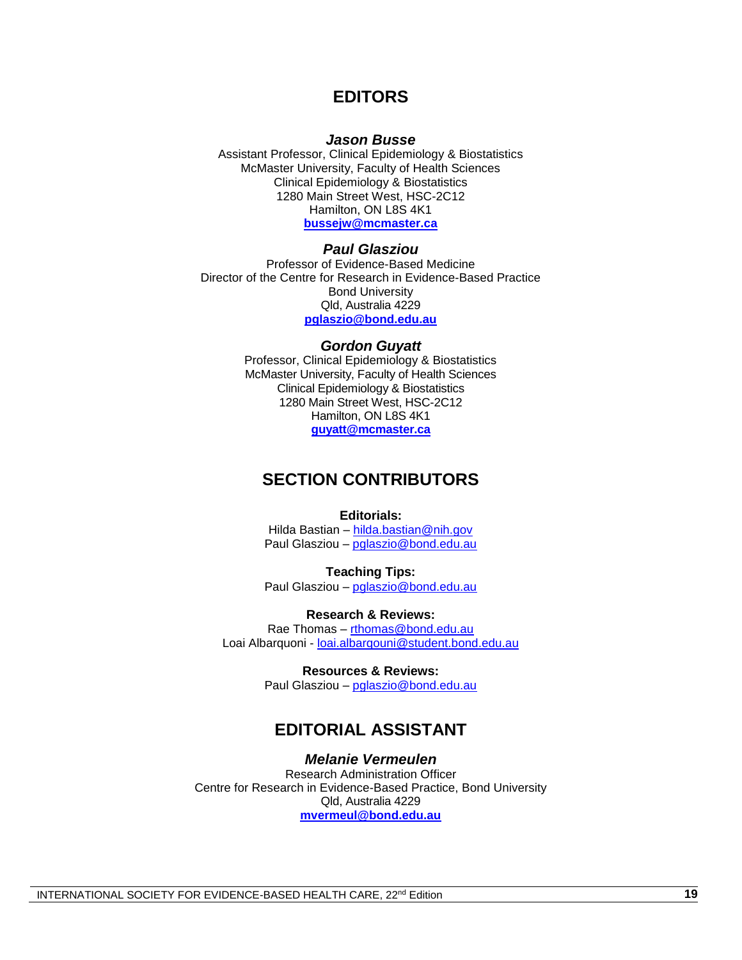#### **EDITORS**

#### *Jason Busse*

Assistant Professor, Clinical Epidemiology & Biostatistics McMaster University, Faculty of Health Sciences Clinical Epidemiology & Biostatistics 1280 Main Street West, HSC-2C12 Hamilton, ON L8S 4K1 **[bussejw@mcmaster.ca](mailto:bussejw@mcmaster.ca)**

#### *Paul Glasziou*

Professor of Evidence-Based Medicine Director of the Centre for Research in Evidence-Based Practice Bond University Qld, Australia 4229 **[pglaszio@bond.edu.au](mailto:pglaszio@bond.edu.au)**

#### *Gordon Guyatt*

Professor, Clinical Epidemiology & Biostatistics McMaster University, Faculty of Health Sciences Clinical Epidemiology & Biostatistics 1280 Main Street West, HSC-2C12 Hamilton, ON L8S 4K1 **[guyatt@mcmaster.ca](mailto:guyatt@mcmaster.ca)**

#### **SECTION CONTRIBUTORS**

#### **Editorials:**

Hilda Bastian – [hilda.bastian@nih.gov](mailto:hilda.bastian@nih.gov) Paul Glasziou – [pglaszio@bond.edu.au](mailto:pglaszio@bond.edu.au)

**Teaching Tips:** Paul Glasziou - [pglaszio@bond.edu.au](mailto:pglaszio@bond.edu.au)

**Research & Reviews:** Rae Thomas – [rthomas@bond.edu.au](mailto:rthomas@bond.edu.au) Loai Albarquoni - [loai.albarqouni@student.bond.edu.au](mailto:loai.albarqouni@student.bond.edu.au)

> **Resources & Reviews:** Paul Glasziou - [pglaszio@bond.edu.au](mailto:pglaszio@bond.edu.au)

#### **EDITORIAL ASSISTANT**

#### *Melanie Vermeulen*

Research Administration Officer Centre for Research in Evidence-Based Practice, Bond University Qld, Australia 4229 **[mvermeul@bond.edu.au](mailto:mvermeul@bond.edu.au)**